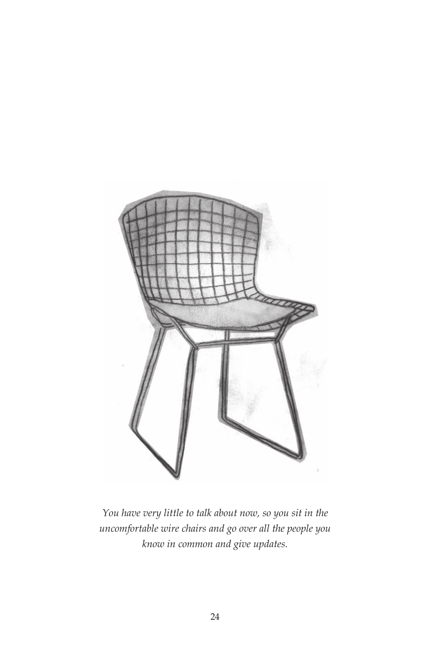

*You have very little to talk about now, so you sit in the uncomfortable wire chairs and go over all the people you know in common and give updates.*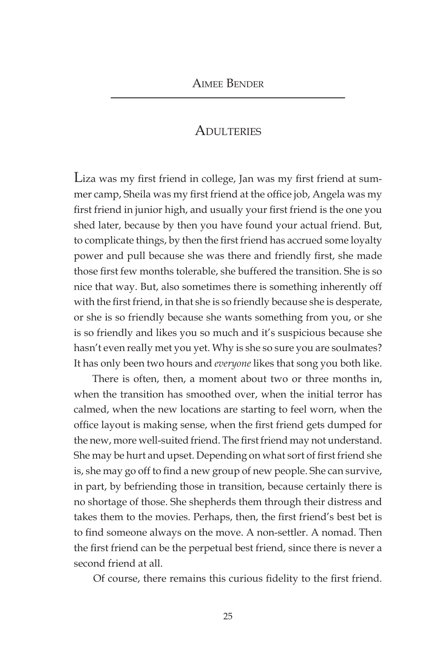## **ADULTERIES**

Liza was my first friend in college, Jan was my first friend at summer camp, Sheila was my first friend at the office job, Angela was my first friend in junior high, and usually your first friend is the one you shed later, because by then you have found your actual friend. But, to complicate things, by then the first friend has accrued some loyalty power and pull because she was there and friendly first, she made those first few months tolerable, she buffered the transition. She is so nice that way. But, also sometimes there is something inherently off with the first friend, in that she is so friendly because she is desperate, or she is so friendly because she wants something from you, or she is so friendly and likes you so much and it's suspicious because she hasn't even really met you yet. Why is she so sure you are soulmates? It has only been two hours and *everyone* likes that song you both like.

There is often, then, a moment about two or three months in, when the transition has smoothed over, when the initial terror has calmed, when the new locations are starting to feel worn, when the office layout is making sense, when the first friend gets dumped for the new, more well-suited friend. The first friend may not understand. She may be hurt and upset. Depending on what sort of first friend she is, she may go off to find a new group of new people. She can survive, in part, by befriending those in transition, because certainly there is no shortage of those. She shepherds them through their distress and takes them to the movies. Perhaps, then, the first friend's best bet is to find someone always on the move. A non-settler. A nomad. Then the first friend can be the perpetual best friend, since there is never a second friend at all.

Of course, there remains this curious fidelity to the first friend.